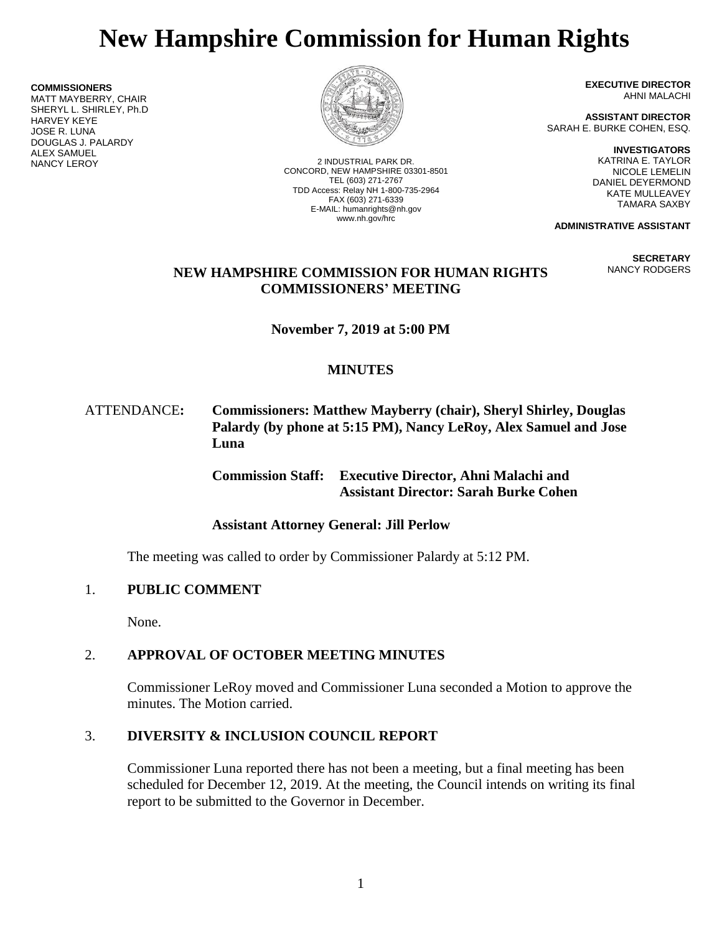# **New Hampshire Commission for Human Rights**

**COMMISSIONERS** MATT MAYBERRY, CHAIR SHERYL L. SHIRLEY, Ph.D HARVEY KEYE JOSE R. LUNA DOUGLAS J. PALARDY **ALEX SAMUEL<br>NANCY LEROY** 



2 INDUSTRIAL PARK DR. CONCORD, NEW HAMPSHIRE 03301-8501 TEL (603) 271-2767 TDD Access: Relay NH 1-800-735-2964 FAX (603) 271-6339 E-MAIL: humanrights@nh.gov www.nh.gov/hrc

**EXECUTIVE DIRECTOR** AHNI MALACHI

**ASSISTANT DIRECTOR** SARAH E. BURKE COHEN, ESQ.

> **INVESTIGATORS** KATRINA E. TAYLOR NICOLE LEMELIN DANIEL DEYERMOND KATE MULLEAVEY TAMARA SAXBY

**ADMINISTRATIVE ASSISTANT**

**SECRETARY** NANCY RODGERS

## **NEW HAMPSHIRE COMMISSION FOR HUMAN RIGHTS COMMISSIONERS' MEETING**

**November 7, 2019 at 5:00 PM**

# **MINUTES**

## ATTENDANCE**: Commissioners: Matthew Mayberry (chair), Sheryl Shirley, Douglas Palardy (by phone at 5:15 PM), Nancy LeRoy, Alex Samuel and Jose Luna**

**Commission Staff: Executive Director, Ahni Malachi and Assistant Director: Sarah Burke Cohen**

## **Assistant Attorney General: Jill Perlow**

The meeting was called to order by Commissioner Palardy at 5:12 PM.

## 1. **PUBLIC COMMENT**

None.

# 2. **APPROVAL OF OCTOBER MEETING MINUTES**

Commissioner LeRoy moved and Commissioner Luna seconded a Motion to approve the minutes. The Motion carried.

## 3. **DIVERSITY & INCLUSION COUNCIL REPORT**

Commissioner Luna reported there has not been a meeting, but a final meeting has been scheduled for December 12, 2019. At the meeting, the Council intends on writing its final report to be submitted to the Governor in December.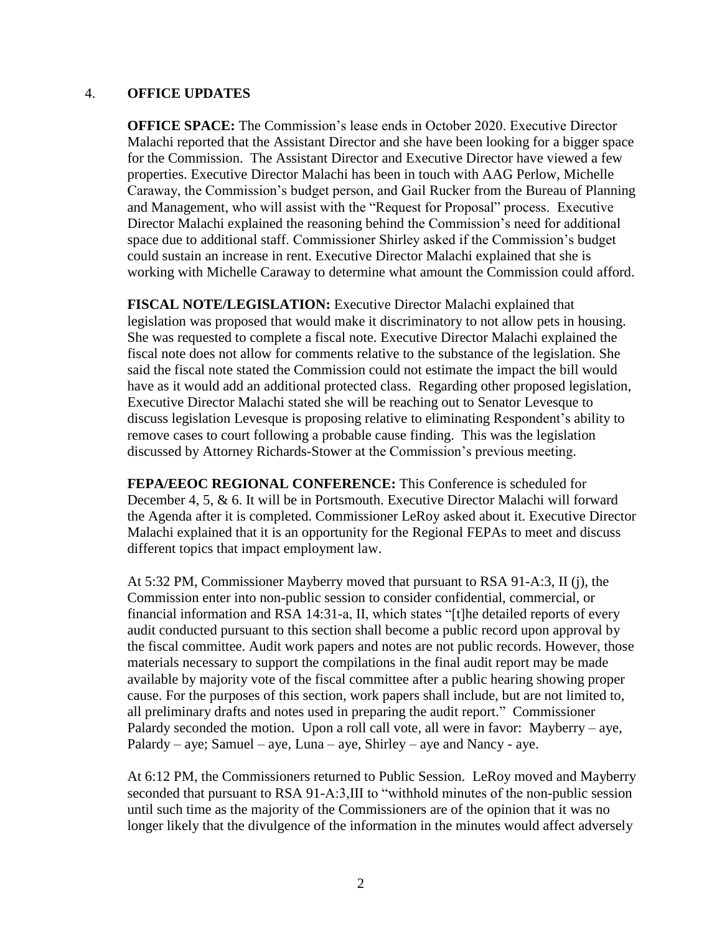#### 4. **OFFICE UPDATES**

**OFFICE SPACE:** The Commission's lease ends in October 2020. Executive Director Malachi reported that the Assistant Director and she have been looking for a bigger space for the Commission. The Assistant Director and Executive Director have viewed a few properties. Executive Director Malachi has been in touch with AAG Perlow, Michelle Caraway, the Commission's budget person, and Gail Rucker from the Bureau of Planning and Management, who will assist with the "Request for Proposal" process. Executive Director Malachi explained the reasoning behind the Commission's need for additional space due to additional staff. Commissioner Shirley asked if the Commission's budget could sustain an increase in rent. Executive Director Malachi explained that she is working with Michelle Caraway to determine what amount the Commission could afford.

**FISCAL NOTE/LEGISLATION:** Executive Director Malachi explained that legislation was proposed that would make it discriminatory to not allow pets in housing. She was requested to complete a fiscal note. Executive Director Malachi explained the fiscal note does not allow for comments relative to the substance of the legislation. She said the fiscal note stated the Commission could not estimate the impact the bill would have as it would add an additional protected class. Regarding other proposed legislation, Executive Director Malachi stated she will be reaching out to Senator Levesque to discuss legislation Levesque is proposing relative to eliminating Respondent's ability to remove cases to court following a probable cause finding. This was the legislation discussed by Attorney Richards-Stower at the Commission's previous meeting.

**FEPA/EEOC REGIONAL CONFERENCE:** This Conference is scheduled for December 4, 5, & 6. It will be in Portsmouth. Executive Director Malachi will forward the Agenda after it is completed. Commissioner LeRoy asked about it. Executive Director Malachi explained that it is an opportunity for the Regional FEPAs to meet and discuss different topics that impact employment law.

At 5:32 PM, Commissioner Mayberry moved that pursuant to RSA 91-A:3, II (j), the Commission enter into non-public session to consider confidential, commercial, or financial information and RSA 14:31-a, II, which states "[t]he detailed reports of every audit conducted pursuant to this section shall become a public record upon approval by the fiscal committee. Audit work papers and notes are not public records. However, those materials necessary to support the compilations in the final audit report may be made available by majority vote of the fiscal committee after a public hearing showing proper cause. For the purposes of this section, work papers shall include, but are not limited to, all preliminary drafts and notes used in preparing the audit report." Commissioner Palardy seconded the motion. Upon a roll call vote, all were in favor: Mayberry – aye, Palardy – aye; Samuel – aye, Luna – aye, Shirley – aye and Nancy - aye.

At 6:12 PM, the Commissioners returned to Public Session. LeRoy moved and Mayberry seconded that pursuant to RSA 91-A:3,III to "withhold minutes of the non-public session until such time as the majority of the Commissioners are of the opinion that it was no longer likely that the divulgence of the information in the minutes would affect adversely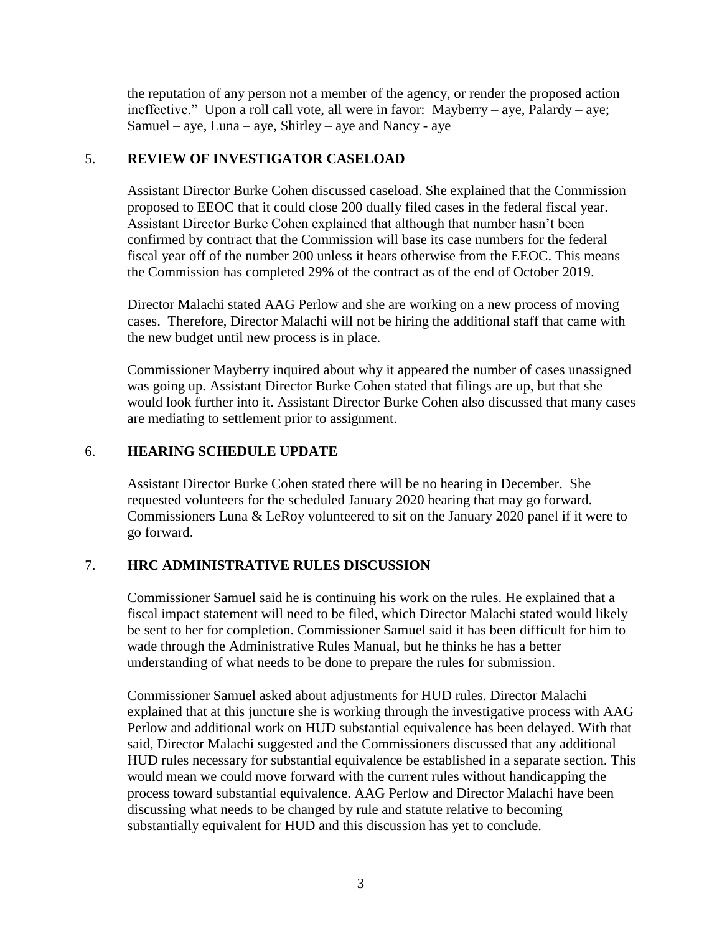the reputation of any person not a member of the agency, or render the proposed action ineffective." Upon a roll call vote, all were in favor: Mayberry – aye, Palardy – aye; Samuel – aye, Luna – aye, Shirley – aye and Nancy - aye

#### 5. **REVIEW OF INVESTIGATOR CASELOAD**

Assistant Director Burke Cohen discussed caseload. She explained that the Commission proposed to EEOC that it could close 200 dually filed cases in the federal fiscal year. Assistant Director Burke Cohen explained that although that number hasn't been confirmed by contract that the Commission will base its case numbers for the federal fiscal year off of the number 200 unless it hears otherwise from the EEOC. This means the Commission has completed 29% of the contract as of the end of October 2019.

Director Malachi stated AAG Perlow and she are working on a new process of moving cases. Therefore, Director Malachi will not be hiring the additional staff that came with the new budget until new process is in place.

Commissioner Mayberry inquired about why it appeared the number of cases unassigned was going up. Assistant Director Burke Cohen stated that filings are up, but that she would look further into it. Assistant Director Burke Cohen also discussed that many cases are mediating to settlement prior to assignment.

### 6. **HEARING SCHEDULE UPDATE**

Assistant Director Burke Cohen stated there will be no hearing in December. She requested volunteers for the scheduled January 2020 hearing that may go forward. Commissioners Luna & LeRoy volunteered to sit on the January 2020 panel if it were to go forward.

## 7. **HRC ADMINISTRATIVE RULES DISCUSSION**

Commissioner Samuel said he is continuing his work on the rules. He explained that a fiscal impact statement will need to be filed, which Director Malachi stated would likely be sent to her for completion. Commissioner Samuel said it has been difficult for him to wade through the Administrative Rules Manual, but he thinks he has a better understanding of what needs to be done to prepare the rules for submission.

Commissioner Samuel asked about adjustments for HUD rules. Director Malachi explained that at this juncture she is working through the investigative process with AAG Perlow and additional work on HUD substantial equivalence has been delayed. With that said, Director Malachi suggested and the Commissioners discussed that any additional HUD rules necessary for substantial equivalence be established in a separate section. This would mean we could move forward with the current rules without handicapping the process toward substantial equivalence. AAG Perlow and Director Malachi have been discussing what needs to be changed by rule and statute relative to becoming substantially equivalent for HUD and this discussion has yet to conclude.